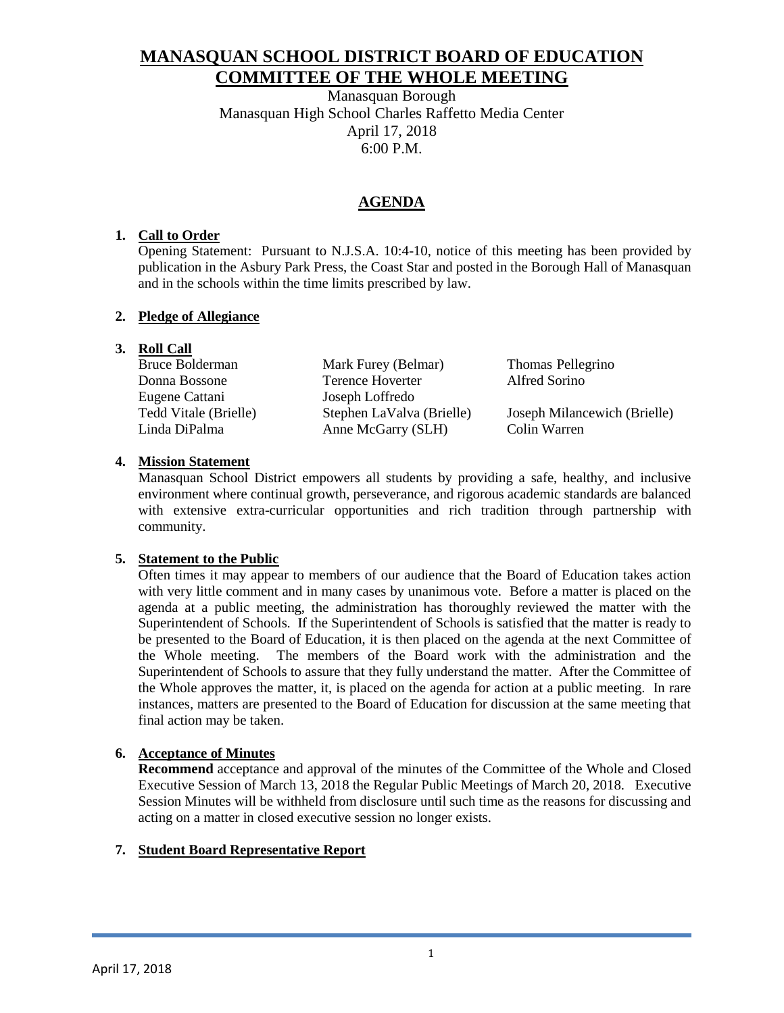# **MANASQUAN SCHOOL DISTRICT BOARD OF EDUCATION COMMITTEE OF THE WHOLE MEETING**

Manasquan Borough Manasquan High School Charles Raffetto Media Center April 17, 2018 6:00 P.M.

## **AGENDA**

## **1. Call to Order**

Opening Statement: Pursuant to N.J.S.A. 10:4-10, notice of this meeting has been provided by publication in the Asbury Park Press, the Coast Star and posted in the Borough Hall of Manasquan and in the schools within the time limits prescribed by law.

### **2. Pledge of Allegiance**

## **3. Roll Call**

| Bruce Bolderman       | Mark Furey (Belmar)       | Thomas Pellegrino            |
|-----------------------|---------------------------|------------------------------|
| Donna Bossone         | Terence Hoverter          | Alfred Sorino                |
| Eugene Cattani        | Joseph Loffredo           |                              |
| Tedd Vitale (Brielle) | Stephen LaValva (Brielle) | Joseph Milancewich (Brielle) |
| Linda DiPalma         | Anne McGarry (SLH)        | Colin Warren                 |
|                       |                           |                              |

### **4. Mission Statement**

Manasquan School District empowers all students by providing a safe, healthy, and inclusive environment where continual growth, perseverance, and rigorous academic standards are balanced with extensive extra-curricular opportunities and rich tradition through partnership with community.

### **5. Statement to the Public**

Often times it may appear to members of our audience that the Board of Education takes action with very little comment and in many cases by unanimous vote. Before a matter is placed on the agenda at a public meeting, the administration has thoroughly reviewed the matter with the Superintendent of Schools. If the Superintendent of Schools is satisfied that the matter is ready to be presented to the Board of Education, it is then placed on the agenda at the next Committee of the Whole meeting. The members of the Board work with the administration and the Superintendent of Schools to assure that they fully understand the matter. After the Committee of the Whole approves the matter, it, is placed on the agenda for action at a public meeting. In rare instances, matters are presented to the Board of Education for discussion at the same meeting that final action may be taken.

## **6. Acceptance of Minutes**

**Recommend** acceptance and approval of the minutes of the Committee of the Whole and Closed Executive Session of March 13, 2018 the Regular Public Meetings of March 20, 2018. Executive Session Minutes will be withheld from disclosure until such time as the reasons for discussing and acting on a matter in closed executive session no longer exists.

## **7. Student Board Representative Report**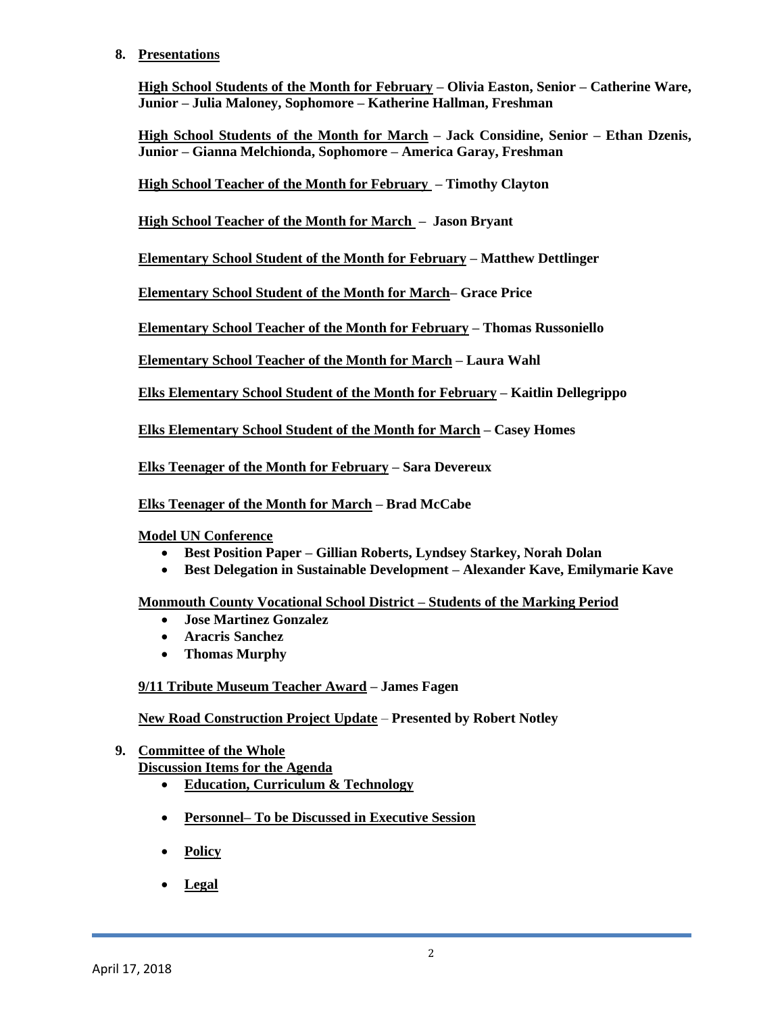#### **8. Presentations**

**High School Students of the Month for February – Olivia Easton, Senior – Catherine Ware, Junior – Julia Maloney, Sophomore – Katherine Hallman, Freshman**

**High School Students of the Month for March – Jack Considine, Senior – Ethan Dzenis, Junior – Gianna Melchionda, Sophomore – America Garay, Freshman**

**High School Teacher of the Month for February – Timothy Clayton**

**High School Teacher of the Month for March – Jason Bryant**

**Elementary School Student of the Month for February – Matthew Dettlinger**

**Elementary School Student of the Month for March– Grace Price**

**Elementary School Teacher of the Month for February – Thomas Russoniello**

**Elementary School Teacher of the Month for March – Laura Wahl**

**Elks Elementary School Student of the Month for February – Kaitlin Dellegrippo**

**Elks Elementary School Student of the Month for March – Casey Homes**

**Elks Teenager of the Month for February – Sara Devereux**

**Elks Teenager of the Month for March – Brad McCabe**

**Model UN Conference**

- **Best Position Paper – Gillian Roberts, Lyndsey Starkey, Norah Dolan**
- **Best Delegation in Sustainable Development – Alexander Kave, Emilymarie Kave**

**Monmouth County Vocational School District – Students of the Marking Period**

- **Jose Martinez Gonzalez**
- **Aracris Sanchez**
- **Thomas Murphy**

**9/11 Tribute Museum Teacher Award – James Fagen**

**New Road Construction Project Update** – **Presented by Robert Notley**

**9. Committee of the Whole Discussion Items for the Agenda**

- **Education, Curriculum & Technology**
- **Personnel– To be Discussed in Executive Session**
- **Policy**
- **Legal**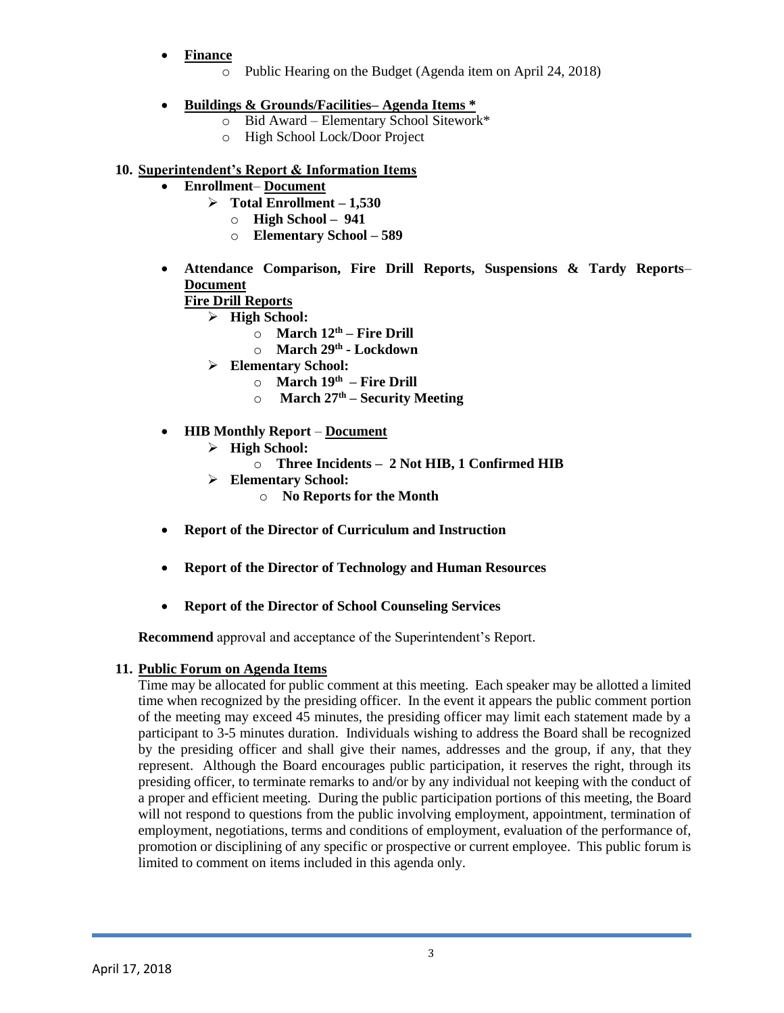- **Finance**
	- o Public Hearing on the Budget (Agenda item on April 24, 2018)

## **Buildings & Grounds/Facilities– Agenda Items \***

- o Bid Award Elementary School Sitework\*
	- o High School Lock/Door Project

## **10. Superintendent's Report & Information Items**

- **Enrollment Document** 
	- $\triangleright$  Total Enrollment 1,530
		- o **High School 941**
		- o **Elementary School – 589**
- **Attendance Comparison, Fire Drill Reports, Suspensions & Tardy Reports Document**

## **Fire Drill Reports**

- **High School:**
	- o **March 12th – Fire Drill**
	- o **March 29th - Lockdown**
- **Elementary School:**
	- o **March 19th – Fire Drill**
	- o **March 27th – Security Meeting**
- **HIB Monthly Report Document** 
	- **High School:**
		- o **Three Incidents 2 Not HIB, 1 Confirmed HIB**
	- **Elementary School:**
		- o **No Reports for the Month**
- **Report of the Director of Curriculum and Instruction**
- **Report of the Director of Technology and Human Resources**
- **Report of the Director of School Counseling Services**

**Recommend** approval and acceptance of the Superintendent's Report.

### **11. Public Forum on Agenda Items**

Time may be allocated for public comment at this meeting. Each speaker may be allotted a limited time when recognized by the presiding officer. In the event it appears the public comment portion of the meeting may exceed 45 minutes, the presiding officer may limit each statement made by a participant to 3-5 minutes duration. Individuals wishing to address the Board shall be recognized by the presiding officer and shall give their names, addresses and the group, if any, that they represent. Although the Board encourages public participation, it reserves the right, through its presiding officer, to terminate remarks to and/or by any individual not keeping with the conduct of a proper and efficient meeting. During the public participation portions of this meeting, the Board will not respond to questions from the public involving employment, appointment, termination of employment, negotiations, terms and conditions of employment, evaluation of the performance of, promotion or disciplining of any specific or prospective or current employee. This public forum is limited to comment on items included in this agenda only.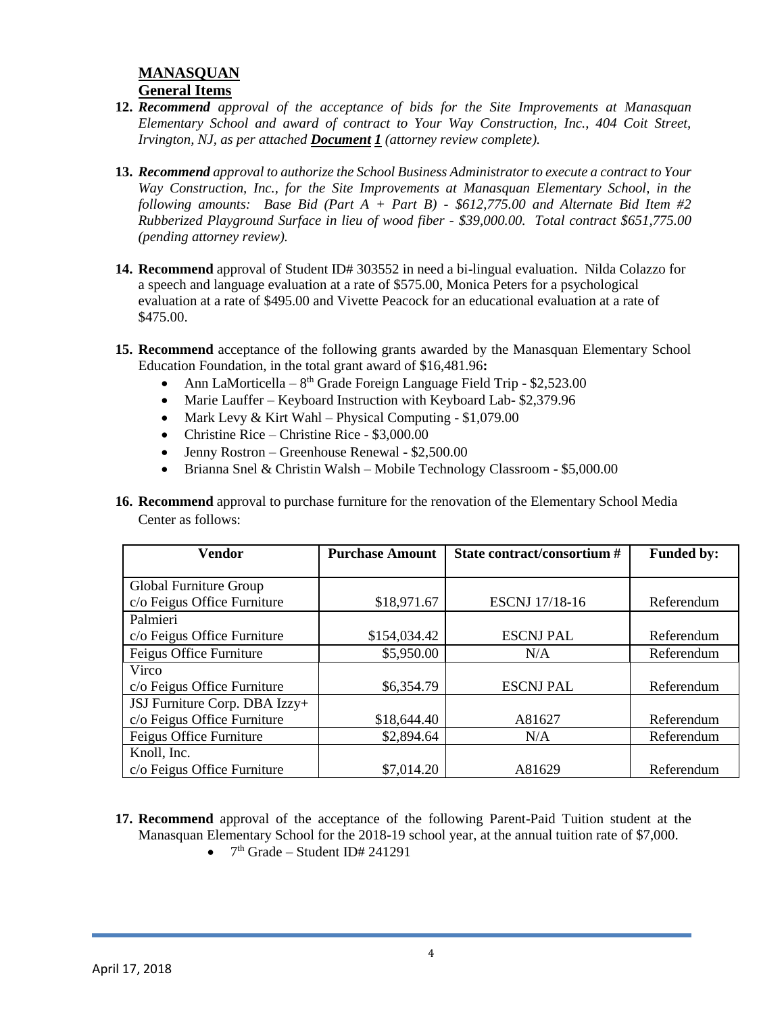## **MANASQUAN General Items**

- **12.** *Recommend approval of the acceptance of bids for the Site Improvements at Manasquan Elementary School and award of contract to Your Way Construction, Inc., 404 Coit Street, Irvington, NJ, as per attached Document 1 (attorney review complete).*
- **13.** *Recommend approval to authorize the School Business Administrator to execute a contract to Your Way Construction, Inc., for the Site Improvements at Manasquan Elementary School, in the following amounts: Base Bid (Part A + Part B) - \$612,775.00 and Alternate Bid Item #2 Rubberized Playground Surface in lieu of wood fiber - \$39,000.00. Total contract \$651,775.00 (pending attorney review).*
- **14. Recommend** approval of Student ID# 303552 in need a bi-lingual evaluation. Nilda Colazzo for a speech and language evaluation at a rate of \$575.00, Monica Peters for a psychological evaluation at a rate of \$495.00 and Vivette Peacock for an educational evaluation at a rate of \$475.00.
- **15. Recommend** acceptance of the following grants awarded by the Manasquan Elementary School Education Foundation, in the total grant award of \$16,481.96**:**
	- Ann LaMorticella  $8<sup>th</sup>$  Grade Foreign Language Field Trip \$2,523.00
	- Marie Lauffer Keyboard Instruction with Keyboard Lab- \$2,379.96
	- Mark Levy & Kirt Wahl Physical Computing  $$1,079.00$
	- Christine Rice Christine Rice \$3,000.00
	- Jenny Rostron Greenhouse Renewal \$2,500.00
	- Brianna Snel & Christin Walsh Mobile Technology Classroom \$5,000.00
- **16. Recommend** approval to purchase furniture for the renovation of the Elementary School Media Center as follows:

| <b>Vendor</b>                 | <b>Purchase Amount</b> | State contract/consortium # | <b>Funded by:</b> |
|-------------------------------|------------------------|-----------------------------|-------------------|
|                               |                        |                             |                   |
| Global Furniture Group        |                        |                             |                   |
| c/o Feigus Office Furniture   | \$18,971.67            | <b>ESCNJ</b> 17/18-16       | Referendum        |
| Palmieri                      |                        |                             |                   |
| c/o Feigus Office Furniture   | \$154,034.42           | <b>ESCNJ PAL</b>            | Referendum        |
| Feigus Office Furniture       | \$5,950.00             | N/A                         | Referendum        |
| Virco                         |                        |                             |                   |
| c/o Feigus Office Furniture   | \$6,354.79             | <b>ESCNJ PAL</b>            | Referendum        |
| JSJ Furniture Corp. DBA Izzy+ |                        |                             |                   |
| c/o Feigus Office Furniture   | \$18,644.40            | A81627                      | Referendum        |
| Feigus Office Furniture       | \$2,894.64             | N/A                         | Referendum        |
| Knoll, Inc.                   |                        |                             |                   |
| c/o Feigus Office Furniture   | \$7,014.20             | A81629                      | Referendum        |

- **17. Recommend** approval of the acceptance of the following Parent-Paid Tuition student at the Manasquan Elementary School for the 2018-19 school year, at the annual tuition rate of \$7,000.
	- $7<sup>th</sup>$  Grade Student ID# 241291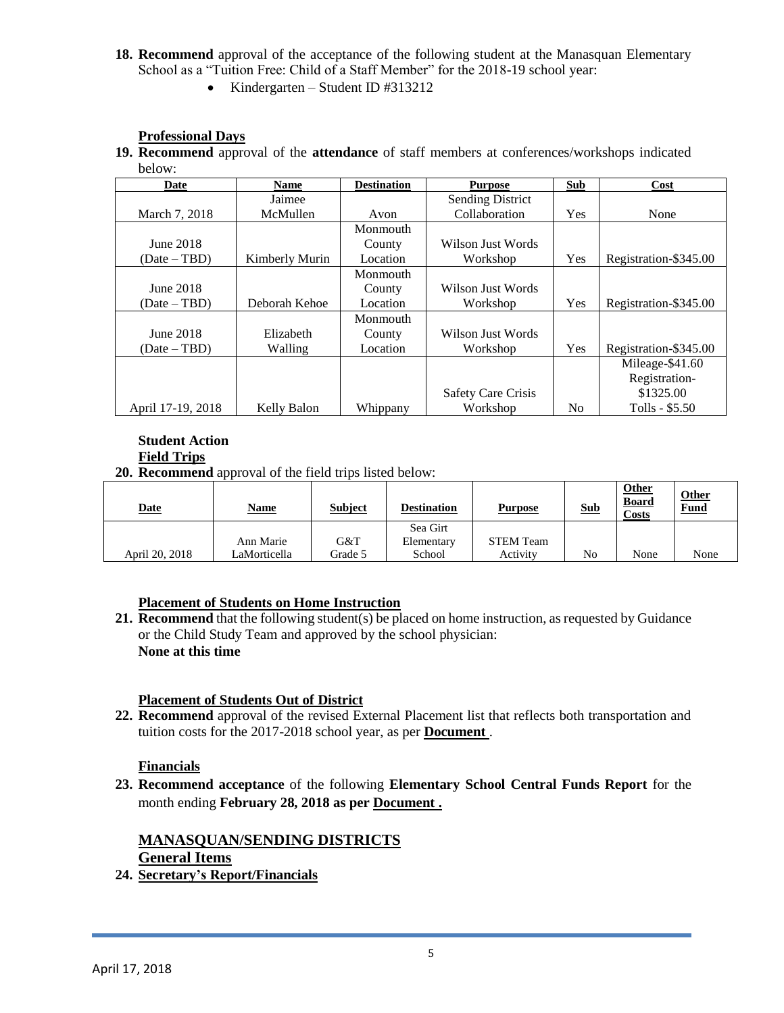- **18. Recommend** approval of the acceptance of the following student at the Manasquan Elementary School as a "Tuition Free: Child of a Staff Member" for the 2018-19 school year:
	- Kindergarten Student ID #313212

### **Professional Days**

**19. Recommend** approval of the **attendance** of staff members at conferences/workshops indicated below:

| Date              | <b>Name</b>    | <b>Destination</b> | <b>Purpose</b>            | Sub            | Cost                  |
|-------------------|----------------|--------------------|---------------------------|----------------|-----------------------|
|                   | Jaimee         |                    | <b>Sending District</b>   |                |                       |
| March 7, 2018     | McMullen       | Avon               | Collaboration             | Yes            | None                  |
|                   |                | Monmouth           |                           |                |                       |
| June 2018         |                | County             | Wilson Just Words         |                |                       |
| $(Date - TBD)$    | Kimberly Murin | Location           | Workshop                  | Yes            | Registration-\$345.00 |
|                   |                | Monmouth           |                           |                |                       |
| June 2018         |                | County             | Wilson Just Words         |                |                       |
| $(Date - TBD)$    | Deborah Kehoe  | Location           | Workshop                  | Yes            | Registration-\$345.00 |
|                   |                | Monmouth           |                           |                |                       |
| June 2018         | Elizabeth      | County             | Wilson Just Words         |                |                       |
| $(Date - TBD)$    | Walling        | Location           | Workshop                  | Yes            | Registration-\$345.00 |
|                   |                |                    |                           |                | Mileage-\$41.60       |
|                   |                |                    |                           |                | Registration-         |
|                   |                |                    | <b>Safety Care Crisis</b> |                | \$1325.00             |
| April 17-19, 2018 | Kelly Balon    | Whippany           | Workshop                  | N <sub>0</sub> | Tolls - \$5.50        |

#### **Student Action Field Trips**

**20. Recommend** approval of the field trips listed below:

| <b>Date</b>    | <u>Name</u>  | <b>Subject</b> | <b>Destination</b> | <b>Purpose</b>   | <b>Sub</b> | Other<br><b>Board</b><br>Costs | <b>Other</b><br><b>Fund</b> |
|----------------|--------------|----------------|--------------------|------------------|------------|--------------------------------|-----------------------------|
|                |              |                | Sea Girt           |                  |            |                                |                             |
|                | Ann Marie    | G&T            | Elementary         | <b>STEM Team</b> |            |                                |                             |
| April 20, 2018 | LaMorticella | Grade 5        | School             | Activity         | No         | None                           | None                        |

### **Placement of Students on Home Instruction**

**21. Recommend** that the following student(s) be placed on home instruction, as requested by Guidance or the Child Study Team and approved by the school physician: **None at this time**

## **Placement of Students Out of District**

**22. Recommend** approval of the revised External Placement list that reflects both transportation and tuition costs for the 2017-2018 school year, as per **Document** .

### **Financials**

**23. Recommend acceptance** of the following **Elementary School Central Funds Report** for the month ending **February 28, 2018 as per Document .**

#### **MANASQUAN/SENDING DISTRICTS General Items**

**24. Secretary's Report/Financials**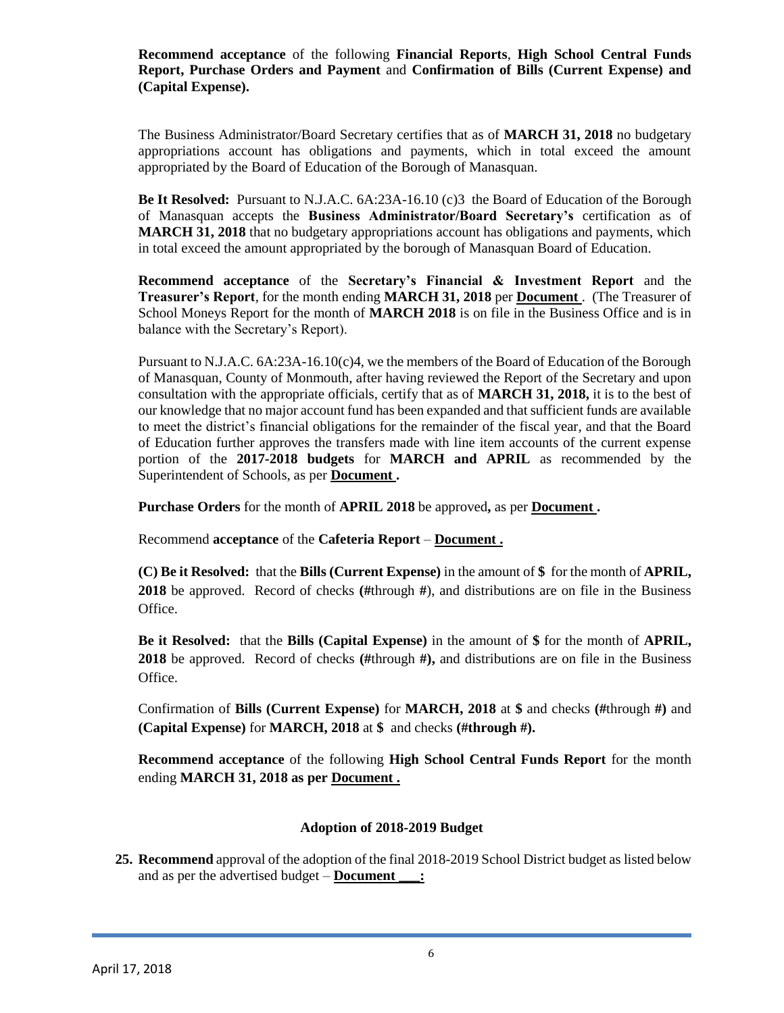**Recommend acceptance** of the following **Financial Reports**, **High School Central Funds Report, Purchase Orders and Payment** and **Confirmation of Bills (Current Expense) and (Capital Expense).**

The Business Administrator/Board Secretary certifies that as of **MARCH 31, 2018** no budgetary appropriations account has obligations and payments, which in total exceed the amount appropriated by the Board of Education of the Borough of Manasquan.

**Be It Resolved:** Pursuant to N.J.A.C. 6A:23A-16.10 (c)3 the Board of Education of the Borough of Manasquan accepts the **Business Administrator/Board Secretary's** certification as of **MARCH 31, 2018** that no budgetary appropriations account has obligations and payments, which in total exceed the amount appropriated by the borough of Manasquan Board of Education.

**Recommend acceptance** of the **Secretary's Financial & Investment Report** and the **Treasurer's Report**, for the month ending **MARCH 31, 2018** per **Document** . (The Treasurer of School Moneys Report for the month of **MARCH 2018** is on file in the Business Office and is in balance with the Secretary's Report).

Pursuant to N.J.A.C. 6A:23A-16.10(c)4, we the members of the Board of Education of the Borough of Manasquan, County of Monmouth, after having reviewed the Report of the Secretary and upon consultation with the appropriate officials, certify that as of **MARCH 31, 2018,** it is to the best of our knowledge that no major account fund has been expanded and that sufficient funds are available to meet the district's financial obligations for the remainder of the fiscal year, and that the Board of Education further approves the transfers made with line item accounts of the current expense portion of the **2017-2018 budgets** for **MARCH and APRIL** as recommended by the Superintendent of Schools, as per **Document .**

**Purchase Orders** for the month of **APRIL 2018** be approved**,** as per **Document .**

Recommend **acceptance** of the **Cafeteria Report** – **Document .**

**(C) Be it Resolved:** that the **Bills (Current Expense)** in the amount of **\$** for the month of **APRIL, 2018** be approved. Record of checks **(#**through **#**), and distributions are on file in the Business Office.

**Be it Resolved:** that the **Bills (Capital Expense)** in the amount of **\$** for the month of **APRIL, 2018** be approved. Record of checks **(#**through **#),** and distributions are on file in the Business Office.

Confirmation of **Bills (Current Expense)** for **MARCH, 2018** at **\$** and checks **(#**through **#)** and **(Capital Expense)** for **MARCH, 2018** at **\$** and checks **(#through #).**

**Recommend acceptance** of the following **High School Central Funds Report** for the month ending **MARCH 31, 2018 as per Document .**

### **Adoption of 2018-2019 Budget**

**25. Recommend** approval of the adoption of the final 2018-2019 School District budget as listed below and as per the advertised budget – **Document** :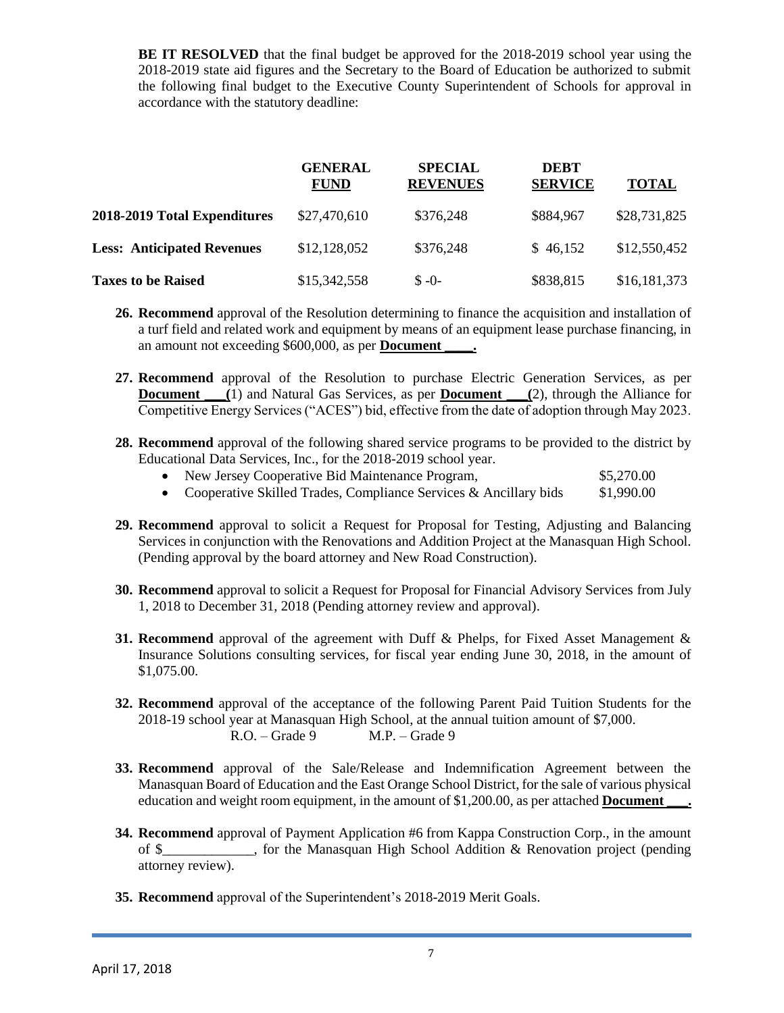**BE IT RESOLVED** that the final budget be approved for the 2018-2019 school year using the 2018-2019 state aid figures and the Secretary to the Board of Education be authorized to submit the following final budget to the Executive County Superintendent of Schools for approval in accordance with the statutory deadline:

|                                   | <b>GENERAL</b><br><b>FUND</b> | <b>SPECIAL</b><br><b>REVENUES</b> | <b>DEBT</b><br><b>SERVICE</b> | <b>TOTAL</b> |
|-----------------------------------|-------------------------------|-----------------------------------|-------------------------------|--------------|
| 2018-2019 Total Expenditures      | \$27,470,610                  | \$376,248                         | \$884,967                     | \$28,731,825 |
| <b>Less: Anticipated Revenues</b> | \$12,128,052                  | \$376,248                         | \$46,152                      | \$12,550,452 |
| <b>Taxes to be Raised</b>         | \$15,342,558                  | $S - 0$                           | \$838,815                     | \$16,181,373 |

- **26. Recommend** approval of the Resolution determining to finance the acquisition and installation of a turf field and related work and equipment by means of an equipment lease purchase financing, in an amount not exceeding \$600,000, as per **Document**
- **27. Recommend** approval of the Resolution to purchase Electric Generation Services, as per **Document** \_\_\_(1) and Natural Gas Services, as per **Document** \_\_\_(2), through the Alliance for Competitive Energy Services ("ACES") bid, effective from the date of adoption through May 2023.
- **28. Recommend** approval of the following shared service programs to be provided to the district by Educational Data Services, Inc., for the 2018-2019 school year.

|  |  | New Jersey Cooperative Bid Maintenance Program, |  | \$5,270.00 |
|--|--|-------------------------------------------------|--|------------|
|--|--|-------------------------------------------------|--|------------|

- Cooperative Skilled Trades, Compliance Services  $\&$  Ancillary bids  $$1,990.00$
- **29. Recommend** approval to solicit a Request for Proposal for Testing, Adjusting and Balancing Services in conjunction with the Renovations and Addition Project at the Manasquan High School. (Pending approval by the board attorney and New Road Construction).
- **30. Recommend** approval to solicit a Request for Proposal for Financial Advisory Services from July 1, 2018 to December 31, 2018 (Pending attorney review and approval).
- **31. Recommend** approval of the agreement with Duff & Phelps, for Fixed Asset Management & Insurance Solutions consulting services, for fiscal year ending June 30, 2018, in the amount of \$1,075.00.
- **32. Recommend** approval of the acceptance of the following Parent Paid Tuition Students for the 2018-19 school year at Manasquan High School, at the annual tuition amount of \$7,000. R.O. – Grade 9 M.P. – Grade 9
- **33. Recommend** approval of the Sale/Release and Indemnification Agreement between the Manasquan Board of Education and the East Orange School District, for the sale of various physical education and weight room equipment, in the amount of \$1,200.00, as per attached **Document**
- **34. Recommend** approval of Payment Application #6 from Kappa Construction Corp., in the amount of \$ The Manasquan High School Addition & Renovation project (pending  $\phi$ attorney review).
- **35. Recommend** approval of the Superintendent's 2018-2019 Merit Goals.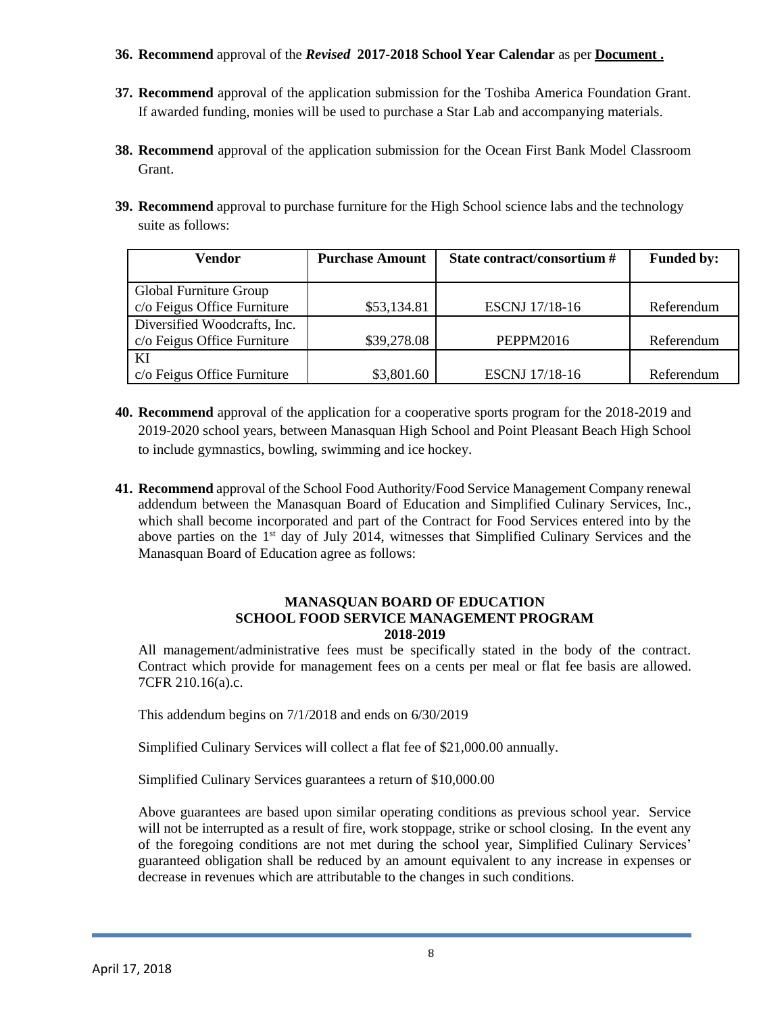### **36. Recommend** approval of the *Revised* **2017-2018 School Year Calendar** as per **Document .**

- **37. Recommend** approval of the application submission for the Toshiba America Foundation Grant. If awarded funding, monies will be used to purchase a Star Lab and accompanying materials.
- **38. Recommend** approval of the application submission for the Ocean First Bank Model Classroom Grant.
- **39. Recommend** approval to purchase furniture for the High School science labs and the technology suite as follows:

| Vendor                       | <b>Purchase Amount</b> | State contract/consortium # | <b>Funded by:</b> |
|------------------------------|------------------------|-----------------------------|-------------------|
|                              |                        |                             |                   |
| Global Furniture Group       |                        |                             |                   |
| c/o Feigus Office Furniture  | \$53,134.81            | <b>ESCNJ</b> 17/18-16       | Referendum        |
| Diversified Woodcrafts, Inc. |                        |                             |                   |
| c/o Feigus Office Furniture  | \$39,278.08            | <b>PEPPM2016</b>            | Referendum        |
| KI                           |                        |                             |                   |
| c/o Feigus Office Furniture  | \$3,801.60             | <b>ESCNJ</b> 17/18-16       | Referendum        |

- **40. Recommend** approval of the application for a cooperative sports program for the 2018-2019 and 2019-2020 school years, between Manasquan High School and Point Pleasant Beach High School to include gymnastics, bowling, swimming and ice hockey.
- **41. Recommend** approval of the School Food Authority/Food Service Management Company renewal addendum between the Manasquan Board of Education and Simplified Culinary Services, Inc., which shall become incorporated and part of the Contract for Food Services entered into by the above parties on the  $1<sup>st</sup>$  day of July 2014, witnesses that Simplified Culinary Services and the Manasquan Board of Education agree as follows:

#### **MANASQUAN BOARD OF EDUCATION SCHOOL FOOD SERVICE MANAGEMENT PROGRAM 2018-2019**

All management/administrative fees must be specifically stated in the body of the contract. Contract which provide for management fees on a cents per meal or flat fee basis are allowed. 7CFR 210.16(a).c.

This addendum begins on 7/1/2018 and ends on 6/30/2019

Simplified Culinary Services will collect a flat fee of \$21,000.00 annually.

Simplified Culinary Services guarantees a return of \$10,000.00

Above guarantees are based upon similar operating conditions as previous school year. Service will not be interrupted as a result of fire, work stoppage, strike or school closing. In the event any of the foregoing conditions are not met during the school year, Simplified Culinary Services' guaranteed obligation shall be reduced by an amount equivalent to any increase in expenses or decrease in revenues which are attributable to the changes in such conditions.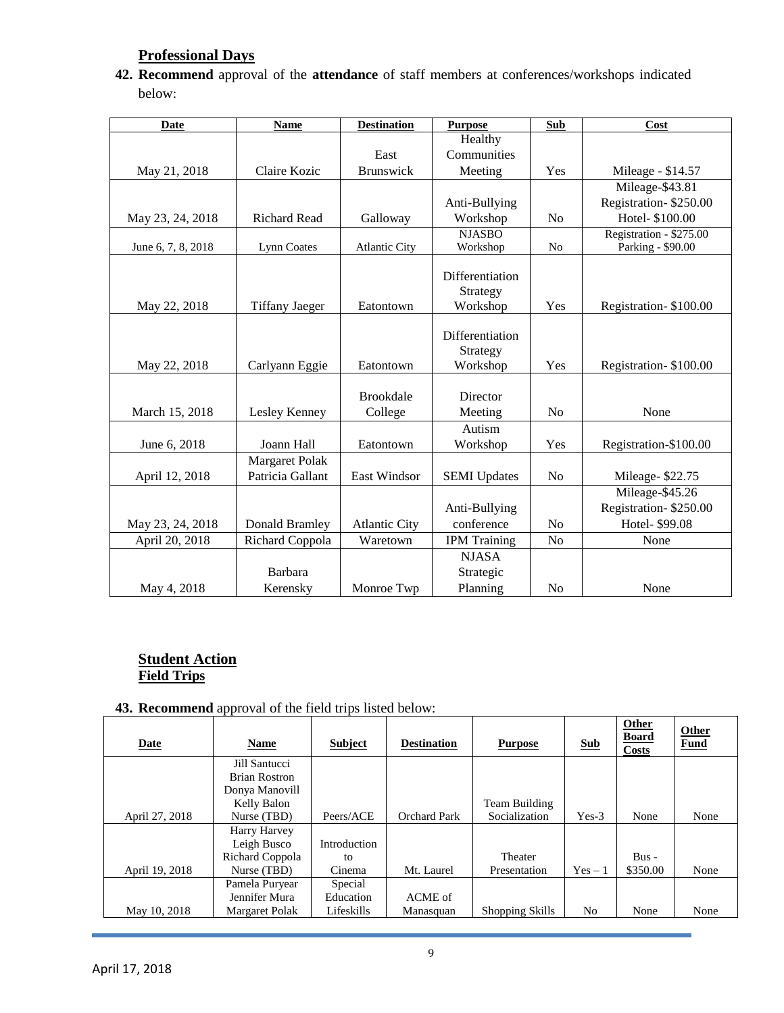# **Professional Days**

**42. Recommend** approval of the **attendance** of staff members at conferences/workshops indicated below:

| <b>Date</b>        | <b>Name</b>           | <b>Destination</b>   | <b>Purpose</b>       | Sub            | Cost                    |
|--------------------|-----------------------|----------------------|----------------------|----------------|-------------------------|
|                    |                       |                      | Healthy              |                |                         |
|                    |                       | East                 | Communities          |                |                         |
| May 21, 2018       | Claire Kozic          | Brunswick            | Meeting              | Yes            | Mileage - \$14.57       |
|                    |                       |                      |                      |                | Mileage-\$43.81         |
|                    |                       |                      | Anti-Bullying        |                | Registration-\$250.00   |
| May 23, 24, 2018   | <b>Richard Read</b>   | Galloway             | Workshop             | N <sub>o</sub> | Hotel- \$100.00         |
|                    |                       |                      | <b>NJASBO</b>        |                | Registration - \$275.00 |
| June 6, 7, 8, 2018 | Lynn Coates           | <b>Atlantic City</b> | Workshop             | N <sub>o</sub> | Parking - \$90.00       |
|                    |                       |                      |                      |                |                         |
|                    |                       |                      | Differentiation      |                |                         |
| May 22, 2018       | <b>Tiffany Jaeger</b> | Eatontown            | Strategy<br>Workshop | Yes            | Registration-\$100.00   |
|                    |                       |                      |                      |                |                         |
|                    |                       |                      | Differentiation      |                |                         |
|                    |                       |                      | Strategy             |                |                         |
| May 22, 2018       | Carlyann Eggie        | Eatontown            | Workshop             | Yes            | Registration-\$100.00   |
|                    |                       |                      |                      |                |                         |
|                    |                       | <b>Brookdale</b>     | Director             |                |                         |
| March 15, 2018     | Lesley Kenney         | College              | Meeting              | N <sub>o</sub> | None                    |
|                    |                       |                      | Autism               |                |                         |
| June 6, 2018       | Joann Hall            | Eatontown            | Workshop             | Yes            | Registration-\$100.00   |
|                    | <b>Margaret Polak</b> |                      |                      |                |                         |
| April 12, 2018     | Patricia Gallant      | East Windsor         | <b>SEMI</b> Updates  | No             | Mileage-\$22.75         |
|                    |                       |                      |                      |                | Mileage-\$45.26         |
|                    |                       |                      | Anti-Bullying        |                | Registration-\$250.00   |
| May 23, 24, 2018   | Donald Bramley        | <b>Atlantic City</b> | conference           | N <sub>o</sub> | Hotel- \$99.08          |
| April 20, 2018     | Richard Coppola       | Waretown             | <b>IPM</b> Training  | N <sub>o</sub> | None                    |
|                    |                       |                      | <b>NJASA</b>         |                |                         |
|                    | Barbara               |                      | Strategic            |                |                         |
| May 4, 2018        | Kerensky              | Monroe Twp           | Planning             | No             | None                    |

## **Student Action Field Trips**

### **43. Recommend** approval of the field trips listed below:

| Date           | <b>Name</b>          | <b>Subject</b> | <b>Destination</b>  | <b>Purpose</b>  | <b>Sub</b> | Other<br><b>Board</b><br>Costs | <b>Other</b><br><b>Fund</b> |
|----------------|----------------------|----------------|---------------------|-----------------|------------|--------------------------------|-----------------------------|
|                | Jill Santucci        |                |                     |                 |            |                                |                             |
|                | <b>Brian Rostron</b> |                |                     |                 |            |                                |                             |
|                | Donya Manovill       |                |                     |                 |            |                                |                             |
|                | Kelly Balon          |                |                     | Team Building   |            |                                |                             |
| April 27, 2018 | Nurse (TBD)          | Peers/ACE      | <b>Orchard Park</b> | Socialization   | $Yes-3$    | None                           | None                        |
|                | Harry Harvey         |                |                     |                 |            |                                |                             |
|                | Leigh Busco          | Introduction   |                     |                 |            |                                |                             |
|                | Richard Coppola      | to             |                     | Theater         |            | $Bus -$                        |                             |
| April 19, 2018 | Nurse (TBD)          | Cinema         | Mt. Laurel          | Presentation    | $Yes - 1$  | \$350.00                       | None                        |
|                | Pamela Puryear       | Special        |                     |                 |            |                                |                             |
|                | Jennifer Mura        | Education      | ACME of             |                 |            |                                |                             |
| May 10, 2018   | Margaret Polak       | Lifeskills     | Manasquan           | Shopping Skills | No         | None                           | None                        |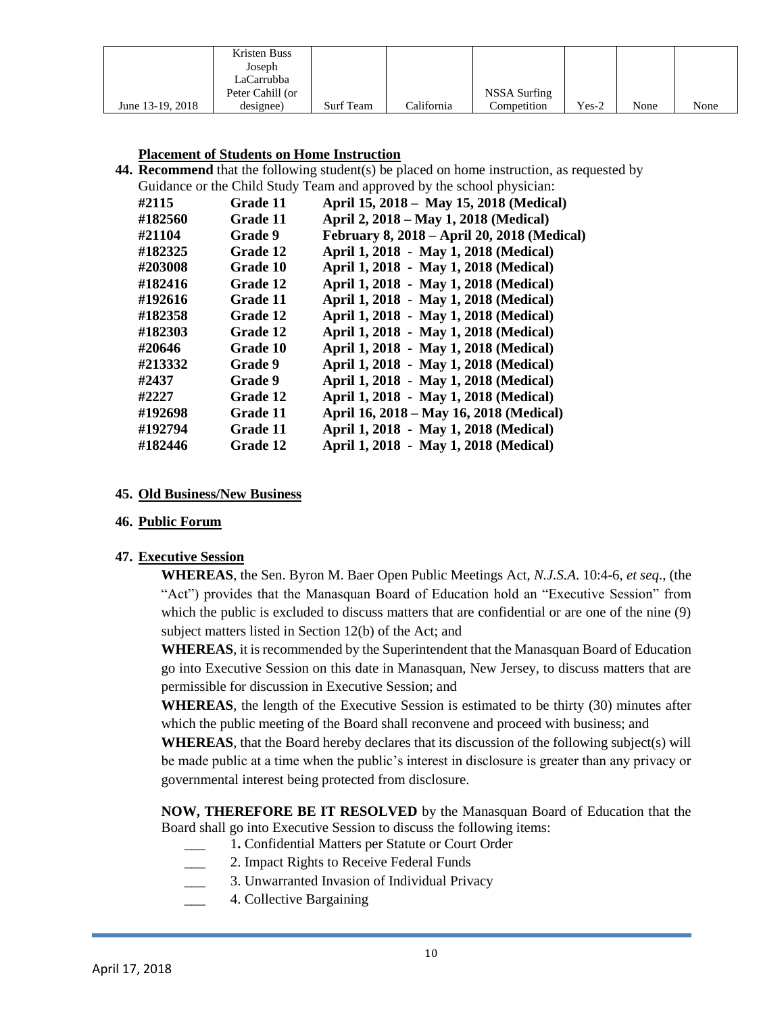|                  | Kristen Buss     |                  |            |              |         |      |      |
|------------------|------------------|------------------|------------|--------------|---------|------|------|
|                  | Joseph           |                  |            |              |         |      |      |
|                  | LaCarrubba       |                  |            |              |         |      |      |
|                  | Peter Cahill (or |                  |            | NSSA Surfing |         |      |      |
| June 13-19, 2018 | designee)        | <b>Surf Team</b> | California | Competition  | $Yes-2$ | None | None |

#### **Placement of Students on Home Instruction**

**44. Recommend** that the following student(s) be placed on home instruction, as requested by Guidance or the Child Study Team and approved by the school physician:

| #2115   | Grade 11 | April 15, 2018 – May 15, 2018 (Medical)     |
|---------|----------|---------------------------------------------|
| #182560 | Grade 11 | April 2, 2018 – May 1, 2018 (Medical)       |
| #21104  | Grade 9  | February 8, 2018 - April 20, 2018 (Medical) |
| #182325 | Grade 12 | April 1, 2018 - May 1, 2018 (Medical)       |
| #203008 | Grade 10 | April 1, 2018 - May 1, 2018 (Medical)       |
| #182416 | Grade 12 | April 1, 2018 - May 1, 2018 (Medical)       |
| #192616 | Grade 11 | April 1, 2018 - May 1, 2018 (Medical)       |
| #182358 | Grade 12 | April 1, 2018 - May 1, 2018 (Medical)       |
| #182303 | Grade 12 | April 1, 2018 - May 1, 2018 (Medical)       |
| #20646  | Grade 10 | April 1, 2018 - May 1, 2018 (Medical)       |
| #213332 | Grade 9  | April 1, 2018 - May 1, 2018 (Medical)       |
| #2437   | Grade 9  | April 1, 2018 - May 1, 2018 (Medical)       |
| #2227   | Grade 12 | April 1, 2018 - May 1, 2018 (Medical)       |
| #192698 | Grade 11 | April 16, 2018 – May 16, 2018 (Medical)     |
| #192794 | Grade 11 | April 1, 2018 - May 1, 2018 (Medical)       |
| #182446 | Grade 12 | April 1, 2018 - May 1, 2018 (Medical)       |
|         |          |                                             |

#### **45. Old Business/New Business**

#### **46. Public Forum**

### **47. Executive Session**

**WHEREAS**, the Sen. Byron M. Baer Open Public Meetings Act, *N.J.S.A*. 10:4-6, *et seq*., (the "Act") provides that the Manasquan Board of Education hold an "Executive Session" from which the public is excluded to discuss matters that are confidential or are one of the nine (9) subject matters listed in Section 12(b) of the Act; and

**WHEREAS**, it is recommended by the Superintendent that the Manasquan Board of Education go into Executive Session on this date in Manasquan, New Jersey, to discuss matters that are permissible for discussion in Executive Session; and

**WHEREAS**, the length of the Executive Session is estimated to be thirty (30) minutes after which the public meeting of the Board shall reconvene and proceed with business; and

**WHEREAS**, that the Board hereby declares that its discussion of the following subject(s) will be made public at a time when the public's interest in disclosure is greater than any privacy or governmental interest being protected from disclosure.

**NOW, THEREFORE BE IT RESOLVED** by the Manasquan Board of Education that the Board shall go into Executive Session to discuss the following items:

- \_\_\_ 1**.** Confidential Matters per Statute or Court Order
- 2. Impact Rights to Receive Federal Funds
	- 3. Unwarranted Invasion of Individual Privacy
- \_\_\_ 4. Collective Bargaining